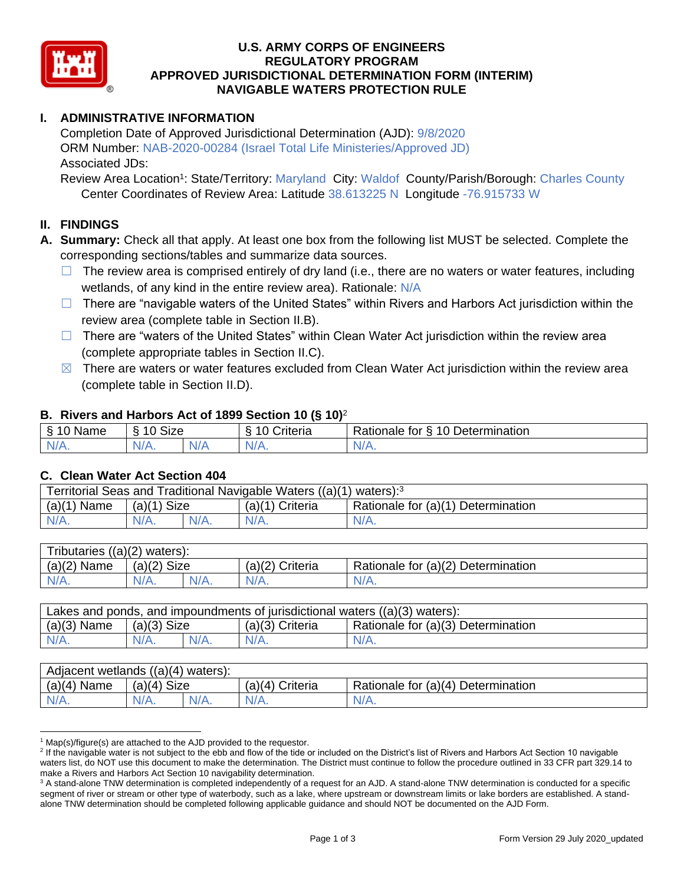

### **U.S. ARMY CORPS OF ENGINEERS REGULATORY PROGRAM APPROVED JURISDICTIONAL DETERMINATION FORM (INTERIM) NAVIGABLE WATERS PROTECTION RULE**

## **I. ADMINISTRATIVE INFORMATION**

Completion Date of Approved Jurisdictional Determination (AJD): 9/8/2020 ORM Number: NAB-2020-00284 (Israel Total Life Ministeries/Approved JD) Associated JDs:

Review Area Location<sup>1</sup>: State/Territory: Maryland City: Waldof County/Parish/Borough: Charles County Center Coordinates of Review Area: Latitude 38.613225 N Longitude -76.915733 W

## **II. FINDINGS**

- **A. Summary:** Check all that apply. At least one box from the following list MUST be selected. Complete the corresponding sections/tables and summarize data sources.
	- $\Box$  The review area is comprised entirely of dry land (i.e., there are no waters or water features, including wetlands, of any kind in the entire review area). Rationale: N/A
	- $\Box$  There are "navigable waters of the United States" within Rivers and Harbors Act jurisdiction within the review area (complete table in Section II.B).
	- $\Box$  There are "waters of the United States" within Clean Water Act jurisdiction within the review area (complete appropriate tables in Section II.C).
	- $\boxtimes$  There are waters or water features excluded from Clean Water Act jurisdiction within the review area (complete table in Section II.D).

### **B. Rivers and Harbors Act of 1899 Section 10 (§ 10)**<sup>2</sup>

| $\epsilon$<br>Name | <b>Size</b><br>$\overline{A}$<br>s<br>ΙА. |                | 10<br>∵riteria | $\sqrt{10}$ $\Gamma$<br>-<br>Determination<br>√ationale,<br>tor |
|--------------------|-------------------------------------------|----------------|----------------|-----------------------------------------------------------------|
| N/f                | N/A.                                      | N <sub>/</sub> | N/             | в.                                                              |
| . .                |                                           | v/r            | v. n.          | w / / \.                                                        |

#### **C. Clean Water Act Section 404**

| Territorial Seas and Traditional Navigable Waters ((a)(1) waters): <sup>3</sup> |                |  |                   |                                    |  |
|---------------------------------------------------------------------------------|----------------|--|-------------------|------------------------------------|--|
| (a)(1)<br>Name                                                                  | Size<br>(a)(1) |  | $(a)(1)$ Criteria | Rationale for (a)(1) Determination |  |
|                                                                                 | $N/A$ .        |  | $N/A$ .           | $N/A$ .                            |  |

| $((a)(2)$ waters):<br>Tributaries, |                |  |                    |                                    |  |  |
|------------------------------------|----------------|--|--------------------|------------------------------------|--|--|
| (a)(2)<br>Name                     | Size<br>(a)(2) |  | Criteria<br>(a)(2) | Rationale for (a)(2) Determination |  |  |
| $N/A$ .                            | $N/A$ .        |  | $N/A$ .            | N/A.                               |  |  |

| Lakes and ponds, and impoundments of jurisdictional waters $((a)(3)$ waters): |               |         |                   |                                    |  |
|-------------------------------------------------------------------------------|---------------|---------|-------------------|------------------------------------|--|
| $(a)(3)$ Name                                                                 | $(a)(3)$ Size |         | $(a)(3)$ Criteria | Rationale for (a)(3) Determination |  |
| $N/A$ .                                                                       | $N/A$ .       | $N/A$ . | $N/A$ .           | $N/A$ .                            |  |

| Adjacent wetlands<br>((a)(4))<br>waters): |                       |         |                    |                                    |  |  |
|-------------------------------------------|-----------------------|---------|--------------------|------------------------------------|--|--|
| (a)(4)<br>Name                            | <b>Size</b><br>(a)(4) |         | Criteria<br>(a)(4) | Rationale for (a)(4) Determination |  |  |
| N/A.                                      | N/H.                  | $N/A$ . |                    | $N/A$ .                            |  |  |

 $1$  Map(s)/figure(s) are attached to the AJD provided to the requestor.

<sup>&</sup>lt;sup>2</sup> If the navigable water is not subject to the ebb and flow of the tide or included on the District's list of Rivers and Harbors Act Section 10 navigable waters list, do NOT use this document to make the determination. The District must continue to follow the procedure outlined in 33 CFR part 329.14 to make a Rivers and Harbors Act Section 10 navigability determination.

<sup>&</sup>lt;sup>3</sup> A stand-alone TNW determination is completed independently of a request for an AJD. A stand-alone TNW determination is conducted for a specific segment of river or stream or other type of waterbody, such as a lake, where upstream or downstream limits or lake borders are established. A standalone TNW determination should be completed following applicable guidance and should NOT be documented on the AJD Form.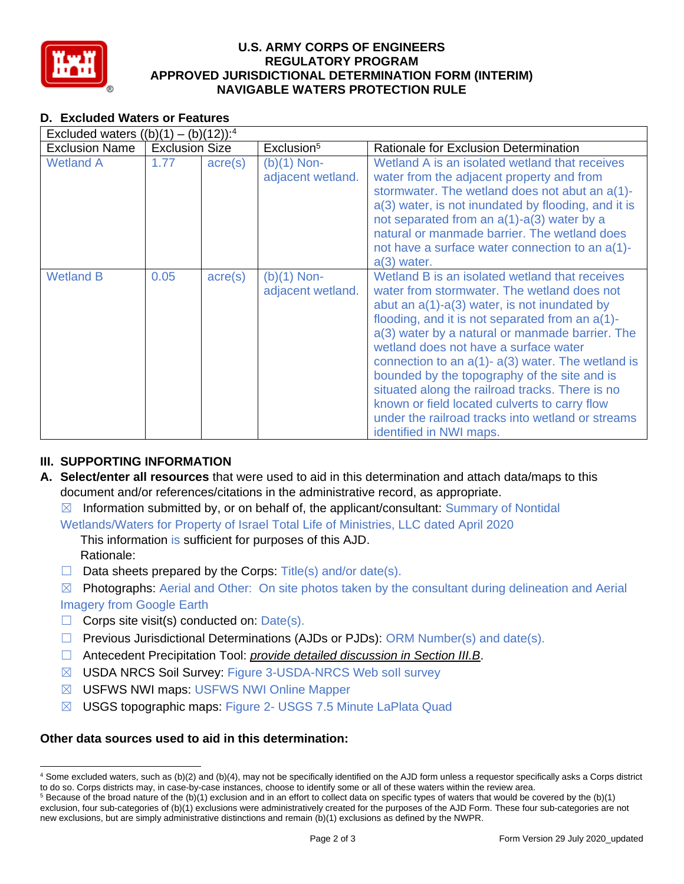

### **U.S. ARMY CORPS OF ENGINEERS REGULATORY PROGRAM APPROVED JURISDICTIONAL DETERMINATION FORM (INTERIM) NAVIGABLE WATERS PROTECTION RULE**

# **D. Excluded Waters or Features**

| Excluded waters $((b)(1) - (b)(12))$ : <sup>4</sup> |                       |                  |                                    |                                                                                                                                                                                                                                                                                                                                                                                                                                                                                                                                                                                              |  |
|-----------------------------------------------------|-----------------------|------------------|------------------------------------|----------------------------------------------------------------------------------------------------------------------------------------------------------------------------------------------------------------------------------------------------------------------------------------------------------------------------------------------------------------------------------------------------------------------------------------------------------------------------------------------------------------------------------------------------------------------------------------------|--|
| <b>Exclusion Name</b>                               | <b>Exclusion Size</b> |                  | Exclusion <sup>5</sup>             | Rationale for Exclusion Determination                                                                                                                                                                                                                                                                                                                                                                                                                                                                                                                                                        |  |
| <b>Wetland A</b>                                    | 1.77                  | $\text{acre}(s)$ | $(b)(1)$ Non-<br>adjacent wetland. | Wetland A is an isolated wetland that receives<br>water from the adjacent property and from<br>stormwater. The wetland does not abut an a(1)-<br>a(3) water, is not inundated by flooding, and it is<br>not separated from an a(1)-a(3) water by a<br>natural or manmade barrier. The wetland does<br>not have a surface water connection to an a(1)-<br>$a(3)$ water.                                                                                                                                                                                                                       |  |
| <b>Wetland B</b>                                    | 0.05                  | $\text{acre}(s)$ | $(b)(1)$ Non-<br>adjacent wetland. | Wetland B is an isolated wetland that receives<br>water from stormwater. The wetland does not<br>abut an $a(1)-a(3)$ water, is not inundated by<br>flooding, and it is not separated from an a(1)-<br>a(3) water by a natural or manmade barrier. The<br>wetland does not have a surface water<br>connection to an $a(1)$ - $a(3)$ water. The wetland is<br>bounded by the topography of the site and is<br>situated along the railroad tracks. There is no<br>known or field located culverts to carry flow<br>under the railroad tracks into wetland or streams<br>identified in NWI maps. |  |

# **III. SUPPORTING INFORMATION**

- **A. Select/enter all resources** that were used to aid in this determination and attach data/maps to this document and/or references/citations in the administrative record, as appropriate.
	- $\boxtimes$  Information submitted by, or on behalf of, the applicant/consultant: Summary of Nontidal
	- Wetlands/Waters for Property of Israel Total Life of Ministries, LLC dated April 2020

This information is sufficient for purposes of this AJD. Rationale:

- $\Box$  Data sheets prepared by the Corps: Title(s) and/or date(s).
- $\boxtimes$  Photographs: Aerial and Other: On site photos taken by the consultant during delineation and Aerial Imagery from Google Earth
- $\Box$  Corps site visit(s) conducted on: Date(s).
- ☐ Previous Jurisdictional Determinations (AJDs or PJDs): ORM Number(s) and date(s).
- ☐ Antecedent Precipitation Tool: *provide detailed discussion in Section III.B*.
- ☒ USDA NRCS Soil Survey: Figure 3-USDA-NRCS Web soIl survey
- ☒ USFWS NWI maps: USFWS NWI Online Mapper
- ☒ USGS topographic maps: Figure 2- USGS 7.5 Minute LaPlata Quad

## **Other data sources used to aid in this determination:**

 <sup>4</sup> Some excluded waters, such as (b)(2) and (b)(4), may not be specifically identified on the AJD form unless a requestor specifically asks a Corps district to do so. Corps districts may, in case-by-case instances, choose to identify some or all of these waters within the review area.

 $5$  Because of the broad nature of the (b)(1) exclusion and in an effort to collect data on specific types of waters that would be covered by the (b)(1) exclusion, four sub-categories of (b)(1) exclusions were administratively created for the purposes of the AJD Form. These four sub-categories are not new exclusions, but are simply administrative distinctions and remain (b)(1) exclusions as defined by the NWPR.